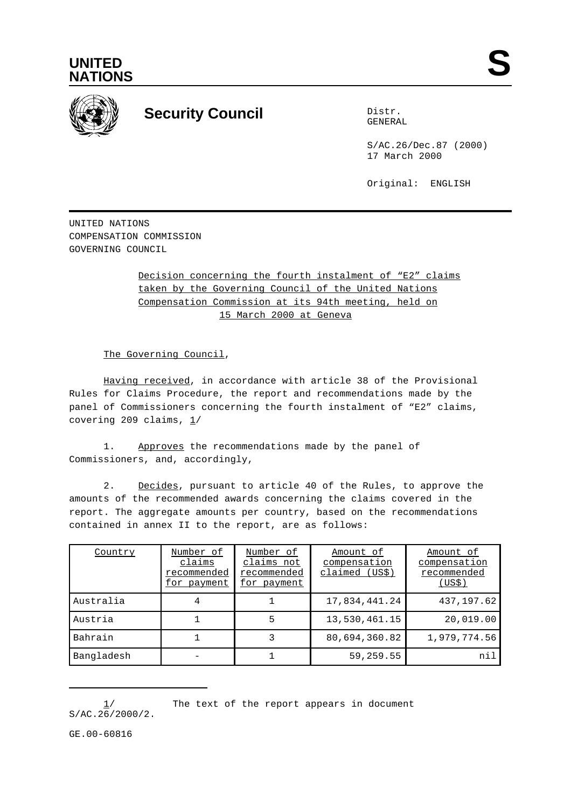



## **Security Council** Distribution of Distribution of Distribution of Distribution of Distribution of Distribution of Distribution of Distribution of Distribution of Distribution of Distribution of Distribution of Distributio

GENERAL

S/AC.26/Dec.87 (2000) 17 March 2000

Original: ENGLISH

UNITED NATIONS COMPENSATION COMMISSION GOVERNING COUNCIL

> Decision concerning the fourth instalment of "E2" claims taken by the Governing Council of the United Nations Compensation Commission at its 94th meeting, held on 15 March 2000 at Geneva

The Governing Council,

Having received, in accordance with article 38 of the Provisional Rules for Claims Procedure, the report and recommendations made by the panel of Commissioners concerning the fourth instalment of "E2" claims, covering 209 claims,  $1/$ 

1. Approves the recommendations made by the panel of Commissioners, and, accordingly,

2. Decides, pursuant to article 40 of the Rules, to approve the amounts of the recommended awards concerning the claims covered in the report. The aggregate amounts per country, based on the recommendations contained in annex II to the report, are as follows:

| Country    | Number of<br>claims<br>recommended<br>for payment | Number of<br>claims not<br>recommended<br>for payment | Amount of<br>compensation<br>claimed (US\$) | Amount of<br>compensation<br>recommended<br>(US\$) |
|------------|---------------------------------------------------|-------------------------------------------------------|---------------------------------------------|----------------------------------------------------|
| Australia  | 4                                                 |                                                       | 17,834,441.24                               | 437, 197.62                                        |
| Austria    |                                                   | 5                                                     | 13,530,461.15                               | 20,019.00                                          |
| Bahrain    |                                                   |                                                       | 80,694,360.82                               | 1,979,774.56                                       |
| Bangladesh |                                                   |                                                       | 59,259.55                                   | nil                                                |

<sup>1/</sup> The text of the report appears in document S/AC.26/2000/2.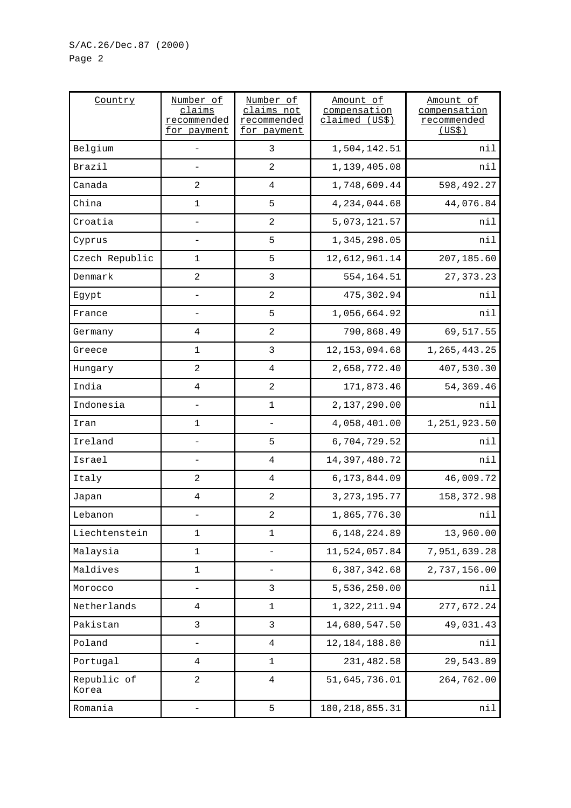| Country              | Number of<br>claims<br>recommended<br>for payment | Number of<br>claims not<br>recommended<br>for payment | Amount of<br>compensation<br>claimed (US\$) | Amount of<br>compensation<br>recommended<br>(US\$) |
|----------------------|---------------------------------------------------|-------------------------------------------------------|---------------------------------------------|----------------------------------------------------|
| Belgium              | $\qquad \qquad -$                                 | 3                                                     | 1,504,142.51                                | nil                                                |
| Brazil               |                                                   | 2                                                     | 1,139,405.08                                | nil                                                |
| Canada               | 2                                                 | 4                                                     | 1,748,609.44                                | 598,492.27                                         |
| China                | $\mathbf{1}$                                      | 5                                                     | 4, 234, 044.68                              | 44,076.84                                          |
| Croatia              |                                                   | $\overline{2}$                                        | 5,073,121.57                                | nil                                                |
| Cyprus               | $\overline{\phantom{a}}$                          | 5                                                     | 1,345,298.05                                | nil                                                |
| Czech Republic       | 1                                                 | 5                                                     | 12,612,961.14                               | 207,185.60                                         |
| Denmark              | $\sqrt{2}$                                        | $\mathbf{3}$                                          | 554, 164.51                                 | 27, 373. 23                                        |
| Egypt                |                                                   | $\overline{2}$                                        | 475,302.94                                  | nil                                                |
| France               |                                                   | 5                                                     | 1,056,664.92                                | nil                                                |
| Germany              | 4                                                 | $\sqrt{2}$                                            | 790,868.49                                  | 69,517.55                                          |
| Greece               | $\mathbf 1$                                       | 3                                                     | 12, 153, 094.68                             | 1, 265, 443. 25                                    |
| Hungary              | 2                                                 | $\overline{4}$                                        | 2,658,772.40                                | 407,530.30                                         |
| India                | $\,4$                                             | $\sqrt{2}$                                            | 171,873.46                                  | 54, 369.46                                         |
| Indonesia            |                                                   | $\mathbf 1$                                           | 2,137,290.00                                | nil                                                |
| Iran                 | 1                                                 | $\qquad \qquad -$                                     | 4,058,401.00                                | 1,251,923.50                                       |
| Ireland              |                                                   | 5                                                     | 6,704,729.52                                | nil                                                |
| Israel               | $\qquad \qquad -$                                 | 4                                                     | 14,397,480.72                               | nil                                                |
| Italy                | 2                                                 | 4                                                     | 6, 173, 844.09                              | 46,009.72                                          |
| Japan                | 4                                                 | $\overline{2}$                                        | 3, 273, 195. 77                             | 158, 372.98                                        |
| Lebanon              |                                                   | $\overline{2}$                                        | 1,865,776.30                                | nil                                                |
| Liechtenstein        | $\mathbf 1$                                       | 1                                                     | 6, 148, 224.89                              | 13,960.00                                          |
| Malaysia             | 1                                                 | $\qquad \qquad -$                                     | 11,524,057.84                               | 7,951,639.28                                       |
| Maldives             | $\mathbf{1}$                                      | $\qquad \qquad -$                                     | 6,387,342.68                                | 2,737,156.00                                       |
| Morocco              | $\qquad \qquad -$                                 | 3                                                     | 5,536,250.00                                | nil                                                |
| Netherlands          | 4                                                 | 1                                                     | 1,322,211.94                                | 277,672.24                                         |
| Pakistan             | 3                                                 | 3                                                     | 14,680,547.50                               | 49,031.43                                          |
| Poland               | -                                                 | 4                                                     | 12, 184, 188.80                             | nil                                                |
| Portugal             | 4                                                 | 1                                                     | 231,482.58                                  | 29,543.89                                          |
| Republic of<br>Korea | 2                                                 | $\,4$                                                 | 51,645,736.01                               | 264,762.00                                         |
| Romania              | $\overline{\phantom{0}}$                          | 5                                                     | 180, 218, 855. 31                           | nil                                                |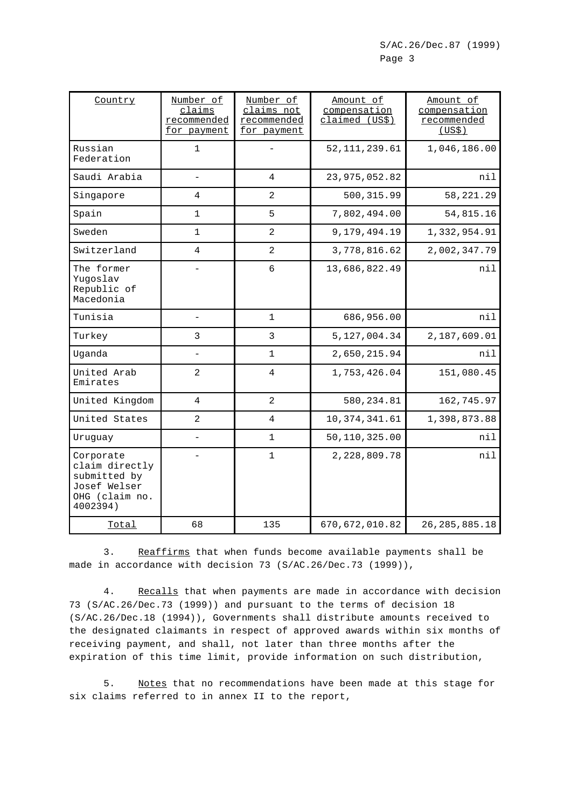| Country                                                                                   | Number of<br>claims<br>recommended<br>for payment | Number of<br>claims not<br>recommended<br>for payment | Amount of<br>compensation<br>claimed (US\$) | Amount of<br>compensation<br>recommended<br>(US\$) |
|-------------------------------------------------------------------------------------------|---------------------------------------------------|-------------------------------------------------------|---------------------------------------------|----------------------------------------------------|
| Russian<br>Federation                                                                     | $\mathbf{1}$                                      |                                                       | 52, 111, 239.61                             | 1,046,186.00                                       |
| Saudi Arabia                                                                              | $\qquad \qquad -$                                 | $\overline{4}$                                        | 23, 975, 052.82                             | nil                                                |
| Singapore                                                                                 | 4                                                 | 2                                                     | 500, 315.99                                 | 58, 221. 29                                        |
| Spain                                                                                     | 1                                                 | 5                                                     | 7,802,494.00                                | 54,815.16                                          |
| Sweden                                                                                    | $\mathbf{1}$                                      | 2                                                     | 9,179,494.19                                | 1,332,954.91                                       |
| Switzerland                                                                               | 4                                                 | 2                                                     | 3,778,816.62                                | 2,002,347.79                                       |
| The former<br>Yugoslav<br>Republic of<br>Macedonia                                        |                                                   | $\epsilon$                                            | 13,686,822.49                               | nil                                                |
| Tunisia                                                                                   | $\overline{\phantom{0}}$                          | $\mathbf{1}$                                          | 686,956.00                                  | nil                                                |
| Turkey                                                                                    | 3                                                 | $\mathbf{3}$                                          | 5, 127, 004.34                              | 2,187,609.01                                       |
| Uganda                                                                                    |                                                   | $\mathbf{1}$                                          | 2,650,215.94                                | nil                                                |
| United Arab<br>Emirates                                                                   | $\overline{a}$                                    | $\overline{4}$                                        | 1,753,426.04                                | 151,080.45                                         |
| United Kingdom                                                                            | $\overline{4}$                                    | $\overline{2}$                                        | 580, 234.81                                 | 162,745.97                                         |
| United States                                                                             | $\overline{2}$                                    | 4                                                     | 10, 374, 341.61                             | 1,398,873.88                                       |
| Uruguay                                                                                   |                                                   | $\mathbf 1$                                           | 50,110,325.00                               | nil                                                |
| Corporate<br>claim directly<br>submitted by<br>Josef Welser<br>OHG (claim no.<br>4002394) |                                                   | $\mathbf{1}$                                          | 2,228,809.78                                | nil                                                |
| Total                                                                                     | 68                                                | 135                                                   | 670, 672, 010.82                            | 26, 285, 885. 18                                   |

3. Reaffirms that when funds become available payments shall be made in accordance with decision 73 (S/AC.26/Dec.73 (1999)),

4. Recalls that when payments are made in accordance with decision 73 (S/AC.26/Dec.73 (1999)) and pursuant to the terms of decision 18 (S/AC.26/Dec.18 (1994)), Governments shall distribute amounts received to the designated claimants in respect of approved awards within six months of receiving payment, and shall, not later than three months after the expiration of this time limit, provide information on such distribution,

5. Notes that no recommendations have been made at this stage for six claims referred to in annex II to the report,